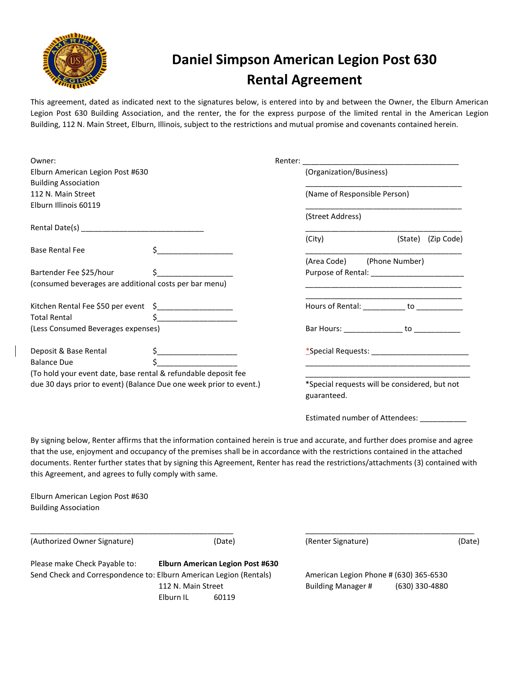

# Daniel Simpson American Legion Post 630 Rental Agreement

This agreement, dated as indicated next to the signatures below, is entered into by and between the Owner, the Elburn American Legion Post 630 Building Association, and the renter, the for the express purpose of the limited rental in the American Legion Building, 112 N. Main Street, Elburn, Illinois, subject to the restrictions and mutual promise and covenants contained herein.

| Owner:                                                             |               |  |                                                                                                                                                                                                                                |         |            |
|--------------------------------------------------------------------|---------------|--|--------------------------------------------------------------------------------------------------------------------------------------------------------------------------------------------------------------------------------|---------|------------|
| Elburn American Legion Post #630                                   |               |  | (Organization/Business)                                                                                                                                                                                                        |         |            |
| <b>Building Association</b>                                        |               |  |                                                                                                                                                                                                                                |         |            |
| 112 N. Main Street                                                 |               |  | (Name of Responsible Person)                                                                                                                                                                                                   |         |            |
| Elburn Illinois 60119                                              |               |  |                                                                                                                                                                                                                                |         |            |
|                                                                    |               |  | (Street Address)                                                                                                                                                                                                               |         |            |
|                                                                    |               |  |                                                                                                                                                                                                                                |         |            |
|                                                                    |               |  | (City)                                                                                                                                                                                                                         | (State) | (Zip Code) |
| <b>Base Rental Fee</b>                                             |               |  |                                                                                                                                                                                                                                |         |            |
|                                                                    |               |  | (Area Code) (Phone Number)                                                                                                                                                                                                     |         |            |
| Bartender Fee \$25/hour                                            |               |  | Purpose of Rental: The contract of the contract of the contract of the contract of the contract of the contract of the contract of the contract of the contract of the contract of the contract of the contract of the contrac |         |            |
| (consumed beverages are additional costs per bar menu)             |               |  |                                                                                                                                                                                                                                |         |            |
| Kitchen Rental Fee \$50 per event \$____________________           |               |  | Hours of Rental: ___________ to ___________                                                                                                                                                                                    |         |            |
| <b>Total Rental</b>                                                | $\frac{1}{2}$ |  |                                                                                                                                                                                                                                |         |            |
| (Less Consumed Beverages expenses)                                 |               |  | Bar Hours: __________________ to ______________                                                                                                                                                                                |         |            |
| Deposit & Base Rental                                              |               |  | *Special Requests: The Second Second Second Second Second Second Second Second Second Second Second Second Second Second Second Second Second Second Second Second Second Second Second Second Second Second Second Second Sec |         |            |
| <b>Balance Due</b>                                                 |               |  |                                                                                                                                                                                                                                |         |            |
| (To hold your event date, base rental & refundable deposit fee     |               |  |                                                                                                                                                                                                                                |         |            |
| due 30 days prior to event) (Balance Due one week prior to event.) |               |  | *Special requests will be considered, but not<br>guaranteed.                                                                                                                                                                   |         |            |
|                                                                    |               |  |                                                                                                                                                                                                                                |         |            |

Estimated number of Attendees: \_\_\_\_\_\_\_\_\_\_\_

By signing below, Renter affirms that the information contained herein is true and accurate, and further does promise and agree that the use, enjoyment and occupancy of the premises shall be in accordance with the restrictions contained in the attached documents. Renter further states that by signing this Agreement, Renter has read the restrictions/attachments (3) contained with this Agreement, and agrees to fully comply with same.

\_\_\_\_\_\_\_\_\_\_\_\_\_\_\_\_\_\_\_\_\_\_\_\_\_\_\_\_\_\_\_\_\_\_\_\_\_\_\_\_\_\_\_\_\_\_\_\_ \_\_\_\_\_\_\_\_\_\_\_\_\_\_\_\_\_\_\_\_\_\_\_\_\_\_\_\_\_\_\_\_\_\_\_\_\_\_\_\_

Elburn American Legion Post #630 Building Association

(Authorized Owner Signature) (Date) (Renter Signature) (Date)

Please make Check Payable to: Elburn American Legion Post #630 Send Check and Correspondence to: Elburn American Legion (Rentals) American Legion Phone # (630) 365-6530 Elburn IL 60119

112 N. Main Street Building Manager # (630) 330-4880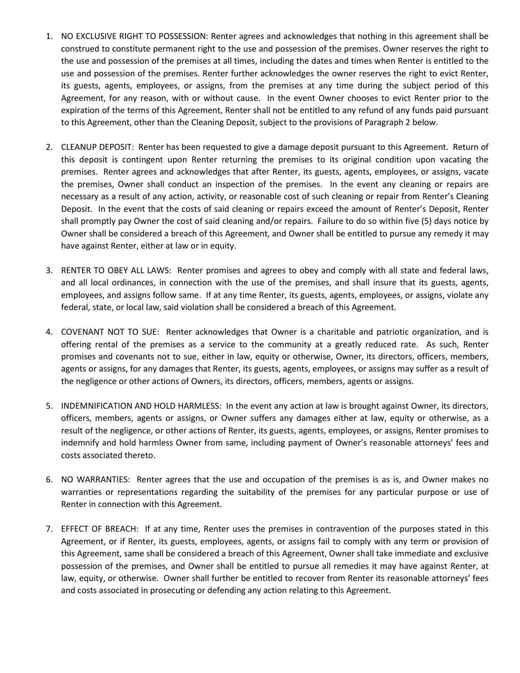- 1. NO EXCLUSIVE RIGHT TO POSSESSION: Renter agrees and acknowledges that nothing in this agreement shall be construed to constitute permanent right to the use and possession of the premises. Owner reserves the right to the use and possession of the premises at all times, including the dates and times when Renter is entitled to the use and possession of the premises. Renter further acknowledges the owner reserves the right to evict Renter, its guests, agents, employees, or assigns, from the premises at any time during the subject period of this Agreement, for any reason, with or without cause. In the event Owner chooses to evict Renter prior to the expiration of the terms of this Agreement, Renter shall not be entitled to any refund of any funds paid pursuant to this Agreement, other than the Cleaning Deposit, subject to the provisions of Paragraph 2 below.
- 2. CLEANUP DEPOSIT: Renter has been requested to give a damage deposit pursuant to this Agreement. Return of this deposit is contingent upon Renter returning the premises to its original condition upon vacating the premises. Renter agrees and acknowledges that after Renter, its guests, agents, employees, or assigns, vacate the premises, Owner shall conduct an inspection of the premises. In the event any cleaning or repairs are necessary as a result of any action, activity, or reasonable cost of such cleaning or repair from Renter's Cleaning Deposit. In the event that the costs of said cleaning or repairs exceed the amount of Renter's Deposit, Renter shall promptly pay Owner the cost of said cleaning and/or repairs. Failure to do so within five (5) days notice by Owner shall be considered a breach of this Agreement, and Owner shall be entitled to pursue any remedy it may have against Renter, either at law or in equity.
- 3. RENTER TO OBEY ALL LAWS: Renter promises and agrees to obey and comply with all state and federal laws, and all local ordinances, in connection with the use of the premises, and shall insure that its guests, agents, employees, and assigns follow same. If at any time Renter, its guests, agents, employees, or assigns, violate any federal, state, or local law, said violation shall be considered a breach of this Agreement.
- 4. COVENANT NOT TO SUE: Renter acknowledges that Owner is a charitable and patriotic organization, and is offering rental of the premises as a service to the community at a greatly reduced rate. As such, Renter promises and covenants not to sue, either in law, equity or otherwise, Owner, its directors, officers, members, agents or assigns, for any damages that Renter, its guests, agents, employees, or assigns may suffer as a result of the negligence or other actions of Owners, its directors, officers, members, agents or assigns.
- 5. INDEMNIFICATION AND HOLD HARMLESS: In the event any action at law is brought against Owner, its directors, officers, members, agents or assigns, or Owner suffers any damages either at law, equity or otherwise, as a result of the negligence, or other actions of Renter, its guests, agents, employees, or assigns, Renter promises to indemnify and hold harmless Owner from same, including payment of Owner's reasonable attorneys' fees and costs associated thereto.
- 6. NO WARRANTIES: Renter agrees that the use and occupation of the premises is as is, and Owner makes no warranties or representations regarding the suitability of the premises for any particular purpose or use of Renter in connection with this Agreement.
- 7. EFFECT OF BREACH: If at any time, Renter uses the premises in contravention of the purposes stated in this Agreement, or if Renter, its guests, employees, agents, or assigns fail to comply with any term or provision of this Agreement, same shall be considered a breach of this Agreement, Owner shall take immediate and exclusive possession of the premises, and Owner shall be entitled to pursue all remedies it may have against Renter, at law, equity, or otherwise. Owner shall further be entitled to recover from Renter its reasonable attorneys' fees and costs associated in prosecuting or defending any action relating to this Agreement.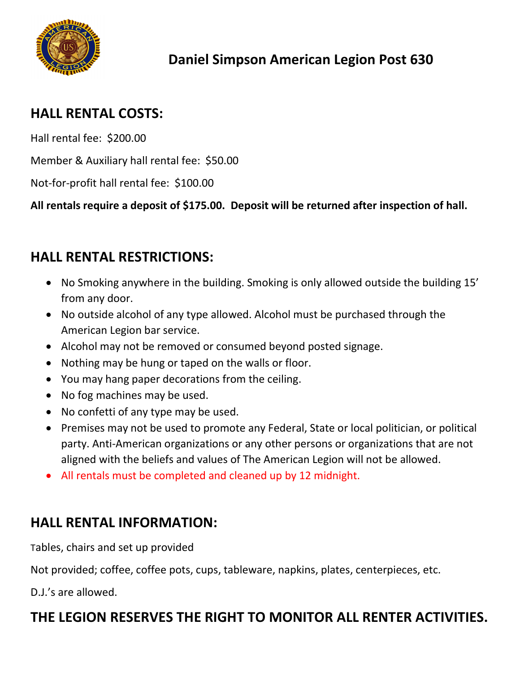

#### HALL RENTAL COSTS:

Hall rental fee: \$200.00

Member & Auxiliary hall rental fee: \$50.00

Not-for-profit hall rental fee: \$100.00

All rentals require a deposit of \$175.00. Deposit will be returned after inspection of hall.

### HALL RENTAL RESTRICTIONS:

- No Smoking anywhere in the building. Smoking is only allowed outside the building 15' from any door.
- No outside alcohol of any type allowed. Alcohol must be purchased through the American Legion bar service.
- Alcohol may not be removed or consumed beyond posted signage.
- Nothing may be hung or taped on the walls or floor.
- You may hang paper decorations from the ceiling.
- No fog machines may be used.
- No confetti of any type may be used.
- Premises may not be used to promote any Federal, State or local politician, or political party. Anti-American organizations or any other persons or organizations that are not aligned with the beliefs and values of The American Legion will not be allowed.
- All rentals must be completed and cleaned up by 12 midnight.

### HALL RENTAL INFORMATION:

Tables, chairs and set up provided

Not provided; coffee, coffee pots, cups, tableware, napkins, plates, centerpieces, etc.

D.J.'s are allowed.

### THE LEGION RESERVES THE RIGHT TO MONITOR ALL RENTER ACTIVITIES.